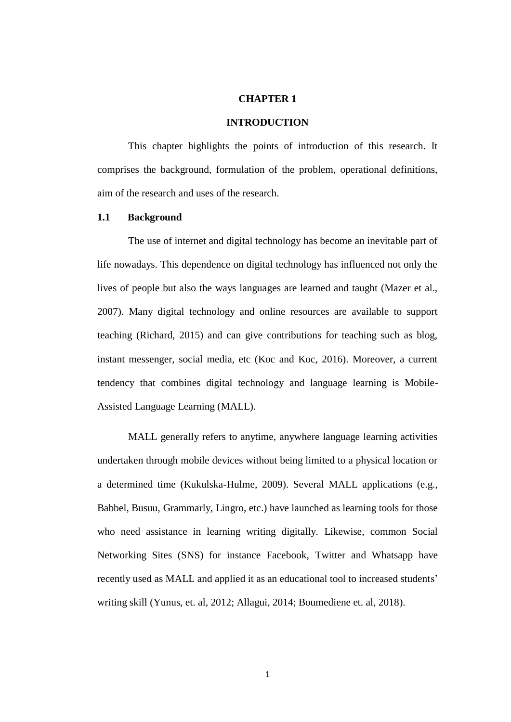### **CHAPTER 1**

#### **INTRODUCTION**

This chapter highlights the points of introduction of this research. It comprises the background, formulation of the problem, operational definitions, aim of the research and uses of the research.

### **1.1 Background**

The use of internet and digital technology has become an inevitable part of life nowadays. This dependence on digital technology has influenced not only the lives of people but also the ways languages are learned and taught (Mazer et al., 2007). Many digital technology and online resources are available to support teaching (Richard, 2015) and can give contributions for teaching such as blog, instant messenger, social media, etc (Koc and Koc, 2016). Moreover, a current tendency that combines digital technology and language learning is Mobile-Assisted Language Learning (MALL).

MALL generally refers to anytime, anywhere language learning activities undertaken through mobile devices without being limited to a physical location or a determined time (Kukulska-Hulme, 2009). Several MALL applications (e.g., Babbel, Busuu, Grammarly, Lingro, etc.) have launched as learning tools for those who need assistance in learning writing digitally. Likewise, common Social Networking Sites (SNS) for instance Facebook, Twitter and Whatsapp have recently used as MALL and applied it as an educational tool to increased students' writing skill (Yunus, et. al, 2012; Allagui, 2014; Boumediene et. al, 2018).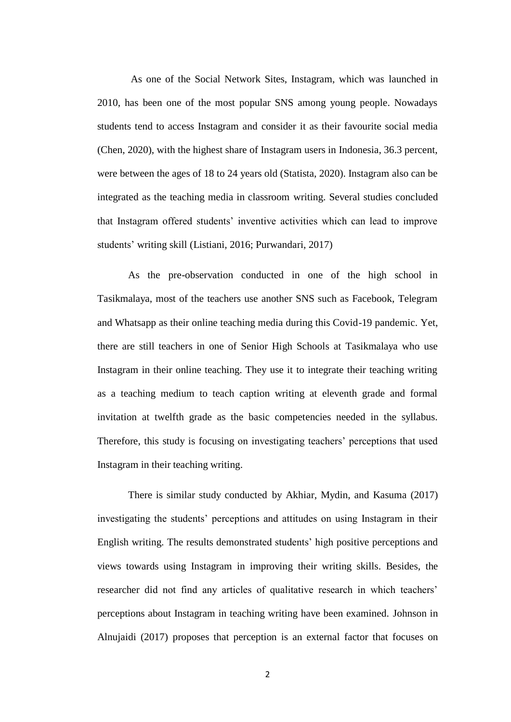As one of the Social Network Sites, Instagram, which was launched in 2010, has been one of the most popular SNS among young people. Nowadays students tend to access Instagram and consider it as their favourite social media (Chen, 2020), with the highest share of Instagram users in Indonesia, 36.3 percent, were between the ages of 18 to 24 years old (Statista, 2020). Instagram also can be integrated as the teaching media in classroom writing. Several studies concluded that Instagram offered students' inventive activities which can lead to improve students' writing skill (Listiani, 2016; Purwandari, 2017)

As the pre-observation conducted in one of the high school in Tasikmalaya, most of the teachers use another SNS such as Facebook, Telegram and Whatsapp as their online teaching media during this Covid-19 pandemic. Yet, there are still teachers in one of Senior High Schools at Tasikmalaya who use Instagram in their online teaching. They use it to integrate their teaching writing as a teaching medium to teach caption writing at eleventh grade and formal invitation at twelfth grade as the basic competencies needed in the syllabus. Therefore, this study is focusing on investigating teachers' perceptions that used Instagram in their teaching writing.

There is similar study conducted by Akhiar, Mydin, and Kasuma (2017) investigating the students' perceptions and attitudes on using Instagram in their English writing. The results demonstrated students' high positive perceptions and views towards using Instagram in improving their writing skills. Besides, the researcher did not find any articles of qualitative research in which teachers' perceptions about Instagram in teaching writing have been examined. Johnson in Alnujaidi (2017) proposes that perception is an external factor that focuses on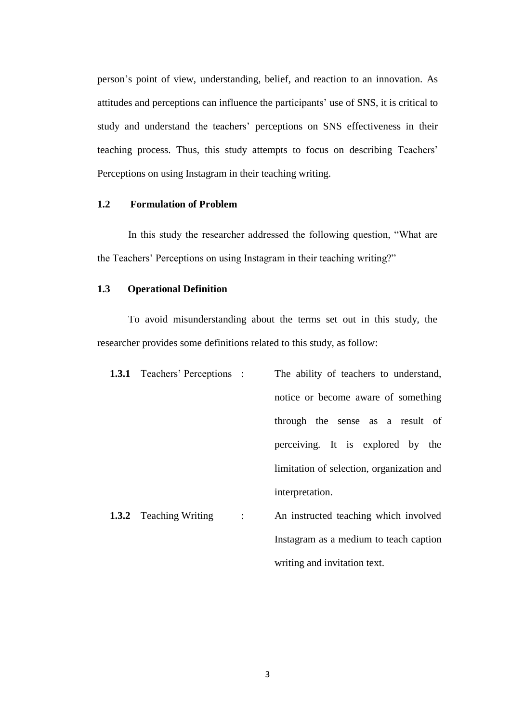person's point of view, understanding, belief, and reaction to an innovation. As attitudes and perceptions can influence the participants' use of SNS, it is critical to study and understand the teachers' perceptions on SNS effectiveness in their teaching process. Thus, this study attempts to focus on describing Teachers' Perceptions on using Instagram in their teaching writing.

## **1.2 Formulation of Problem**

In this study the researcher addressed the following question, "What are the Teachers' Perceptions on using Instagram in their teaching writing?"

## **1.3 Operational Definition**

To avoid misunderstanding about the terms set out in this study, the researcher provides some definitions related to this study, as follow:

| <b>1.3.1</b> Teachers' Perceptions : |               | The ability of teachers to understand,    |
|--------------------------------------|---------------|-------------------------------------------|
|                                      |               | notice or become aware of something       |
|                                      |               | through the sense as a result of          |
|                                      |               | perceiving. It is explored by the         |
|                                      |               | limitation of selection, organization and |
|                                      |               | interpretation.                           |
| <b>1.3.2</b> Teaching Writing        | $\mathcal{L}$ | An instructed teaching which involved     |
|                                      |               |                                           |

Instagram as a medium to teach caption

writing and invitation text.

3